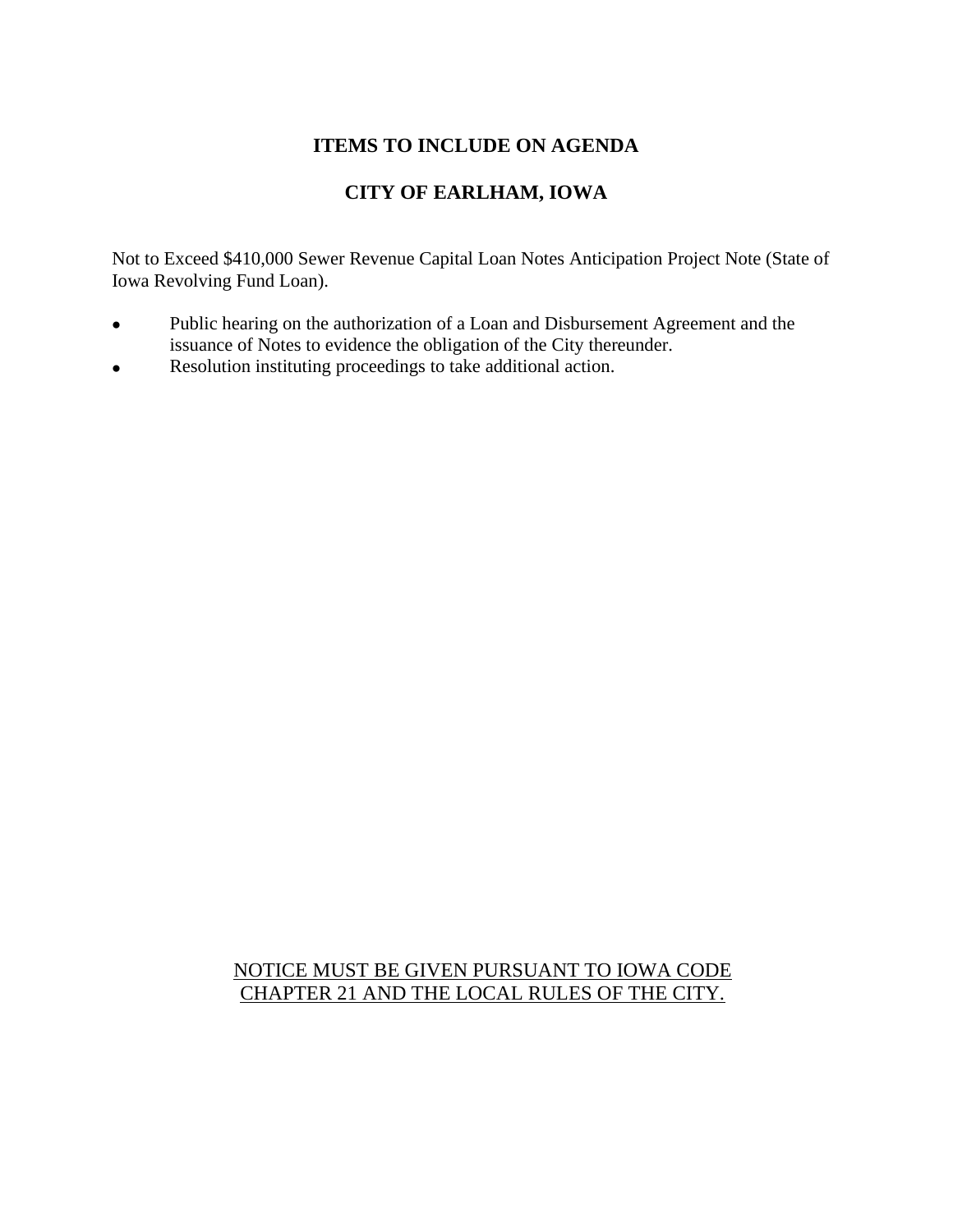## **ITEMS TO INCLUDE ON AGENDA**

## **CITY OF EARLHAM, IOWA**

Not to Exceed \$410,000 Sewer Revenue Capital Loan Notes Anticipation Project Note (State of Iowa Revolving Fund Loan).

- Public hearing on the authorization of a Loan and Disbursement Agreement and the issuance of Notes to evidence the obligation of the City thereunder.
- Resolution instituting proceedings to take additional action.

## NOTICE MUST BE GIVEN PURSUANT TO IOWA CODE CHAPTER 21 AND THE LOCAL RULES OF THE CITY.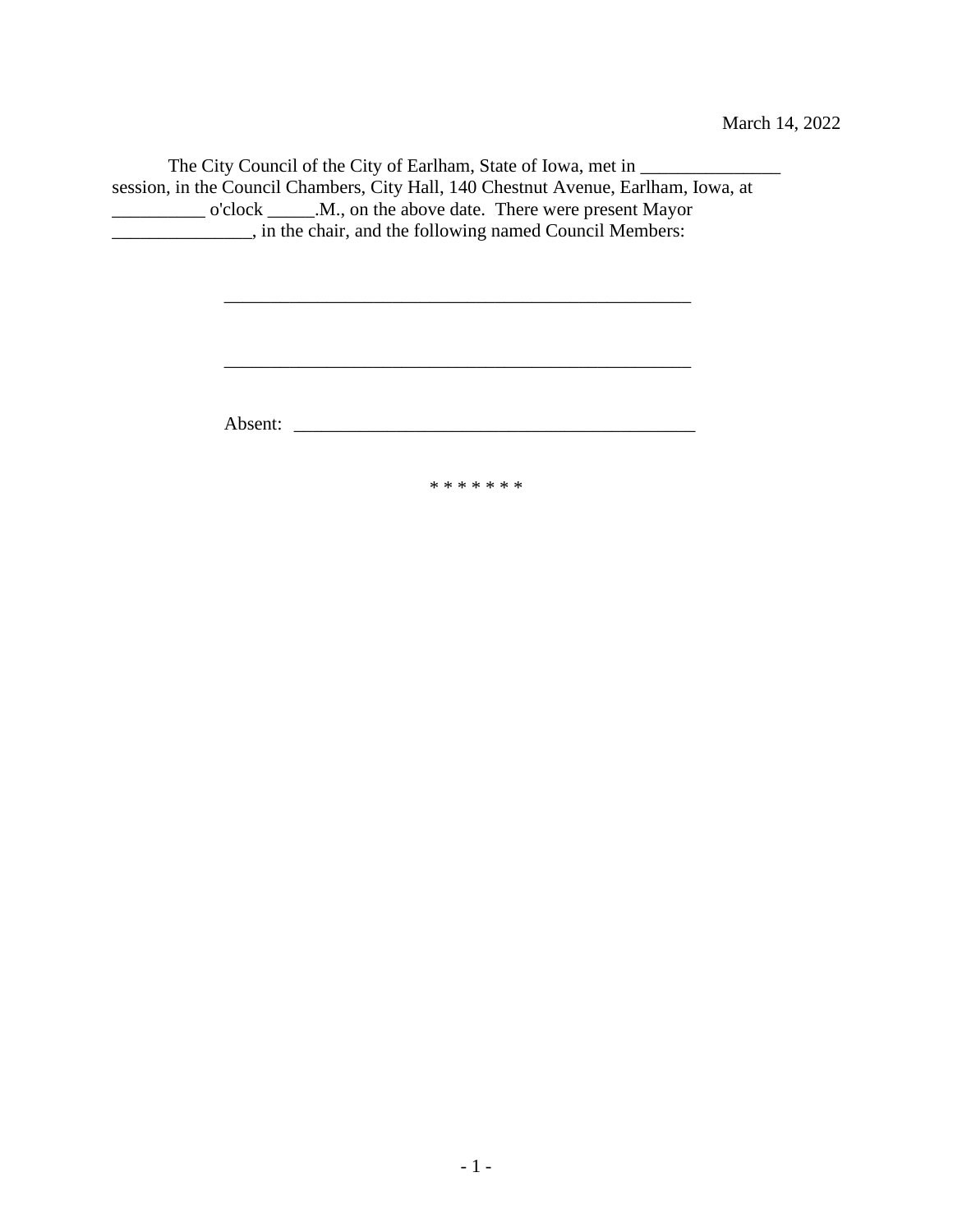The City Council of the City of Earlham, State of Iowa, met in \_\_\_\_\_\_\_\_\_\_\_\_\_\_\_\_\_\_ session, in the Council Chambers, City Hall, 140 Chestnut Avenue, Earlham, Iowa, at \_\_\_\_\_\_\_\_\_\_ o'clock \_\_\_\_\_.M., on the above date. There were present Mayor \_\_\_\_\_\_\_\_\_\_\_\_\_\_\_, in the chair, and the following named Council Members:

Absent: \_\_\_\_\_\_\_\_\_\_\_\_\_\_\_\_\_\_\_\_\_\_\_\_\_\_\_\_\_\_\_\_\_\_\_\_\_\_\_\_\_\_\_

\* \* \* \* \* \* \*

\_\_\_\_\_\_\_\_\_\_\_\_\_\_\_\_\_\_\_\_\_\_\_\_\_\_\_\_\_\_\_\_\_\_\_\_\_\_\_\_\_\_\_\_\_\_\_\_\_\_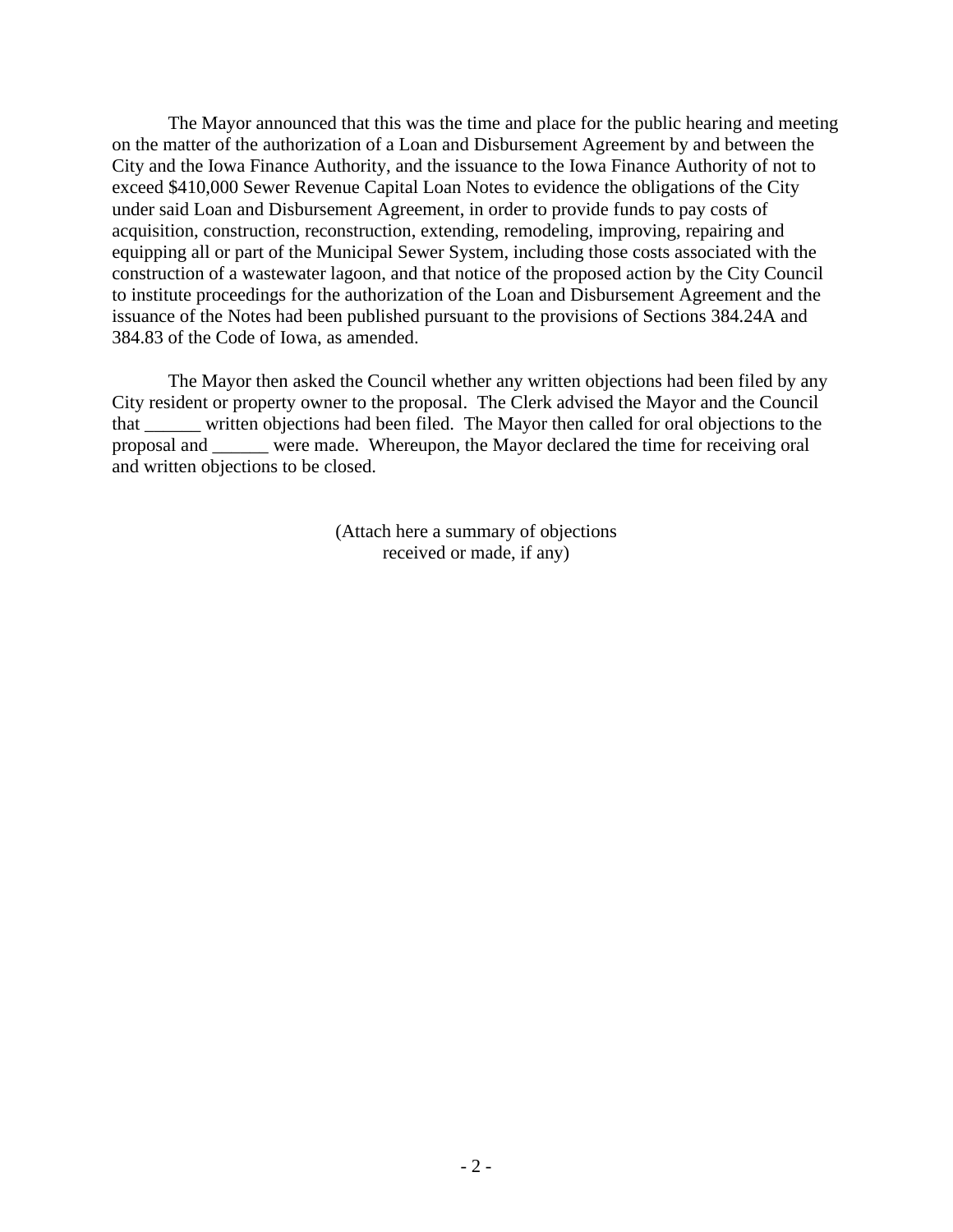The Mayor announced that this was the time and place for the public hearing and meeting on the matter of the authorization of a Loan and Disbursement Agreement by and between the City and the Iowa Finance Authority, and the issuance to the Iowa Finance Authority of not to exceed \$410,000 Sewer Revenue Capital Loan Notes to evidence the obligations of the City under said Loan and Disbursement Agreement, in order to provide funds to pay costs of acquisition, construction, reconstruction, extending, remodeling, improving, repairing and equipping all or part of the Municipal Sewer System, including those costs associated with the construction of a wastewater lagoon, and that notice of the proposed action by the City Council to institute proceedings for the authorization of the Loan and Disbursement Agreement and the issuance of the Notes had been published pursuant to the provisions of Sections 384.24A and 384.83 of the Code of Iowa, as amended.

The Mayor then asked the Council whether any written objections had been filed by any City resident or property owner to the proposal. The Clerk advised the Mayor and the Council that \_\_\_\_\_\_ written objections had been filed. The Mayor then called for oral objections to the proposal and \_\_\_\_\_\_ were made. Whereupon, the Mayor declared the time for receiving oral and written objections to be closed.

> (Attach here a summary of objections received or made, if any)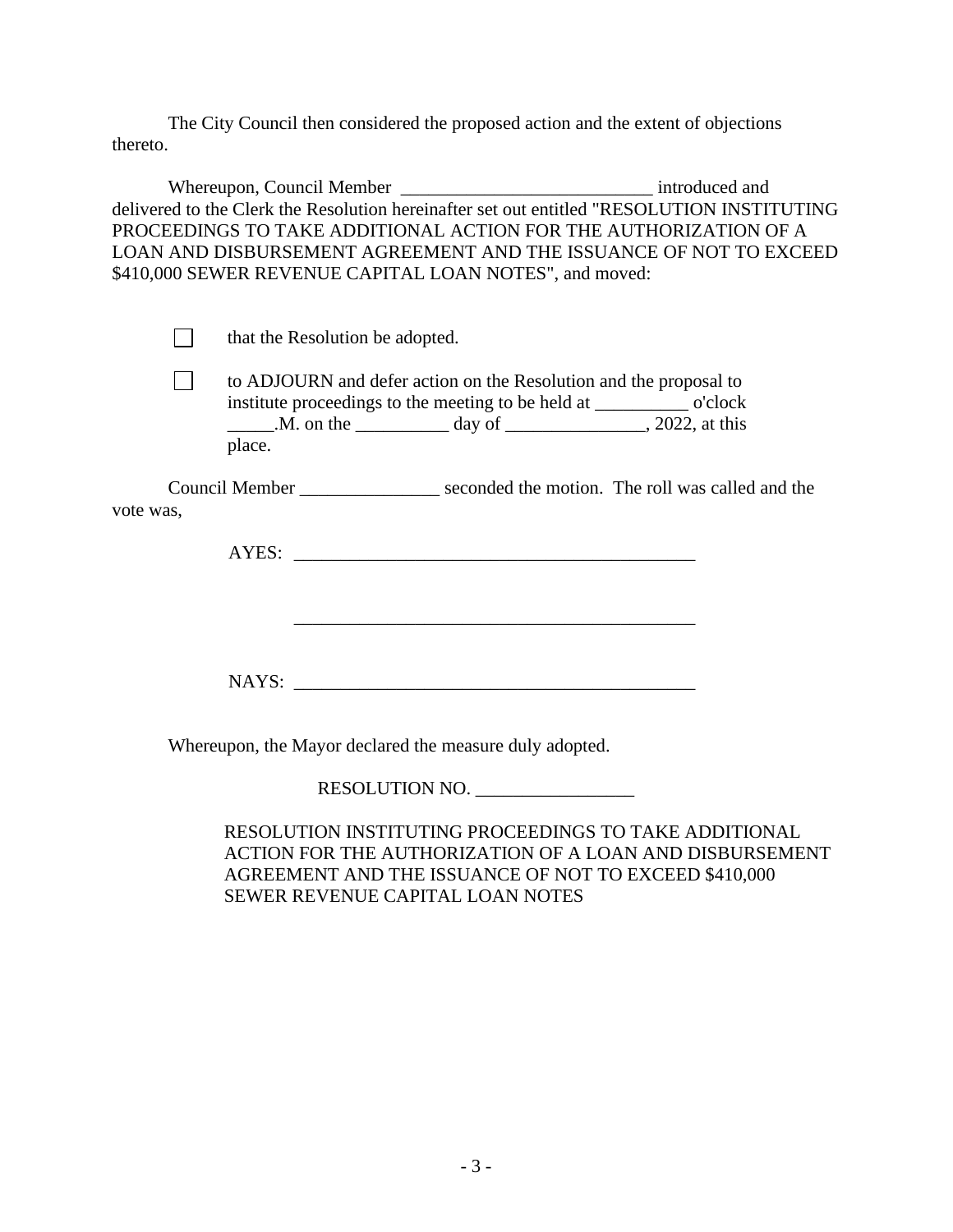The City Council then considered the proposed action and the extent of objections thereto.

Whereupon, Council Member \_\_\_\_\_\_\_\_\_\_\_\_\_\_\_\_\_\_\_\_\_\_\_\_\_\_\_\_\_\_\_\_\_ introduced and delivered to the Clerk the Resolution hereinafter set out entitled "RESOLUTION INSTITUTING PROCEEDINGS TO TAKE ADDITIONAL ACTION FOR THE AUTHORIZATION OF A LOAN AND DISBURSEMENT AGREEMENT AND THE ISSUANCE OF NOT TO EXCEED \$410,000 SEWER REVENUE CAPITAL LOAN NOTES", and moved:

that the Resolution be adopted.

 $\Box$ to ADJOURN and defer action on the Resolution and the proposal to institute proceedings to the meeting to be held at \_\_\_\_\_\_\_\_\_\_ o'clock \_\_\_\_\_\_.M. on the \_\_\_\_\_\_\_\_\_\_\_ day of \_\_\_\_\_\_\_\_\_\_\_\_\_\_, 2022, at this place.

Council Member seconded the motion. The roll was called and the vote was,

AYES:

NAYS:

\_\_\_\_\_\_\_\_\_\_\_\_\_\_\_\_\_\_\_\_\_\_\_\_\_\_\_\_\_\_\_\_\_\_\_\_\_\_\_\_\_\_\_

Whereupon, the Mayor declared the measure duly adopted.

RESOLUTION NO.

RESOLUTION INSTITUTING PROCEEDINGS TO TAKE ADDITIONAL ACTION FOR THE AUTHORIZATION OF A LOAN AND DISBURSEMENT AGREEMENT AND THE ISSUANCE OF NOT TO EXCEED \$410,000 SEWER REVENUE CAPITAL LOAN NOTES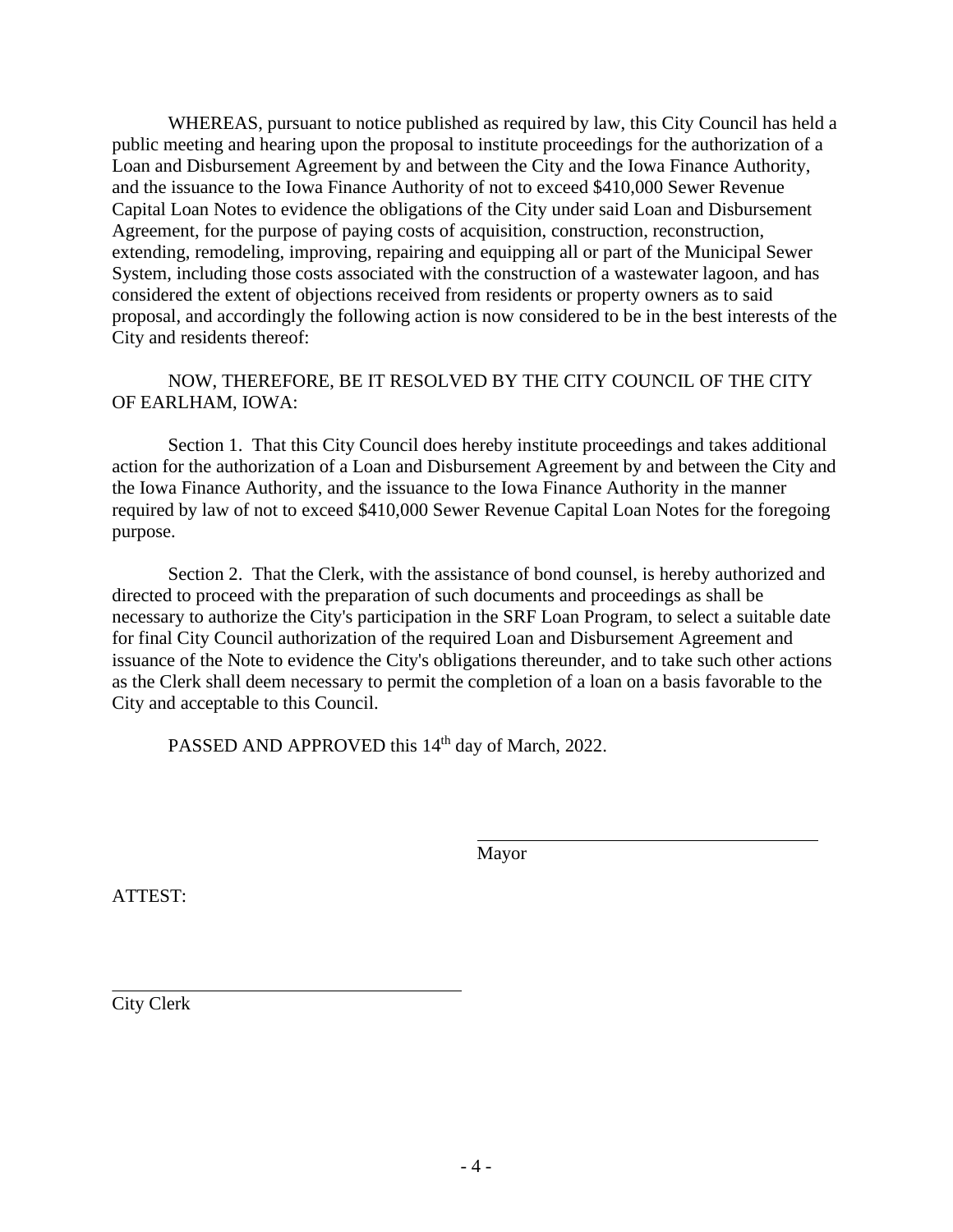WHEREAS, pursuant to notice published as required by law, this City Council has held a public meeting and hearing upon the proposal to institute proceedings for the authorization of a Loan and Disbursement Agreement by and between the City and the Iowa Finance Authority, and the issuance to the Iowa Finance Authority of not to exceed \$410,000 Sewer Revenue Capital Loan Notes to evidence the obligations of the City under said Loan and Disbursement Agreement, for the purpose of paying costs of acquisition, construction, reconstruction, extending, remodeling, improving, repairing and equipping all or part of the Municipal Sewer System, including those costs associated with the construction of a wastewater lagoon, and has considered the extent of objections received from residents or property owners as to said proposal, and accordingly the following action is now considered to be in the best interests of the City and residents thereof:

## NOW, THEREFORE, BE IT RESOLVED BY THE CITY COUNCIL OF THE CITY OF EARLHAM, IOWA:

Section 1. That this City Council does hereby institute proceedings and takes additional action for the authorization of a Loan and Disbursement Agreement by and between the City and the Iowa Finance Authority, and the issuance to the Iowa Finance Authority in the manner required by law of not to exceed \$410,000 Sewer Revenue Capital Loan Notes for the foregoing purpose.

Section 2. That the Clerk, with the assistance of bond counsel, is hereby authorized and directed to proceed with the preparation of such documents and proceedings as shall be necessary to authorize the City's participation in the SRF Loan Program, to select a suitable date for final City Council authorization of the required Loan and Disbursement Agreement and issuance of the Note to evidence the City's obligations thereunder, and to take such other actions as the Clerk shall deem necessary to permit the completion of a loan on a basis favorable to the City and acceptable to this Council.

PASSED AND APPROVED this 14<sup>th</sup> day of March, 2022.

Mayor

ATTEST:

City Clerk